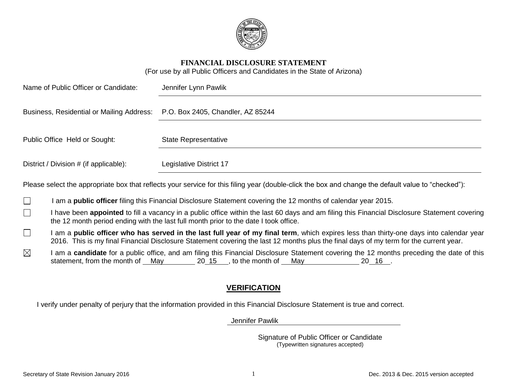

#### **FINANCIAL DISCLOSURE STATEMENT**

(For use by all Public Officers and Candidates in the State of Arizona)

| Name of Public Officer or Candidate:                                        | Jennifer Lynn Pawlik        |  |
|-----------------------------------------------------------------------------|-----------------------------|--|
| Business, Residential or Mailing Address: P.O. Box 2405, Chandler, AZ 85244 |                             |  |
| Public Office Held or Sought:                                               | <b>State Representative</b> |  |
| District / Division # (if applicable):                                      | Legislative District 17     |  |

Please select the appropriate box that reflects your service for this filing year (double-click the box and change the default value to "checked"):

- I am a **public officer** filing this Financial Disclosure Statement covering the 12 months of calendar year 2015. П
- I have been **appointed** to fill a vacancy in a public office within the last 60 days and am filing this Financial Disclosure Statement covering  $\Box$ the 12 month period ending with the last full month prior to the date I took office.
- $\Box$ I am a **public officer who has served in the last full year of my final term**, which expires less than thirty-one days into calendar year 2016. This is my final Financial Disclosure Statement covering the last 12 months plus the final days of my term for the current year.
- $\boxtimes$ I am a **candidate** for a public office, and am filing this Financial Disclosure Statement covering the 12 months preceding the date of this statement, from the month of May  $20\,15$ , to the month of May  $20\,16$ .

## **VERIFICATION**

I verify under penalty of perjury that the information provided in this Financial Disclosure Statement is true and correct.

Jennifer Pawlik

Signature of Public Officer or Candidate (Typewritten signatures accepted)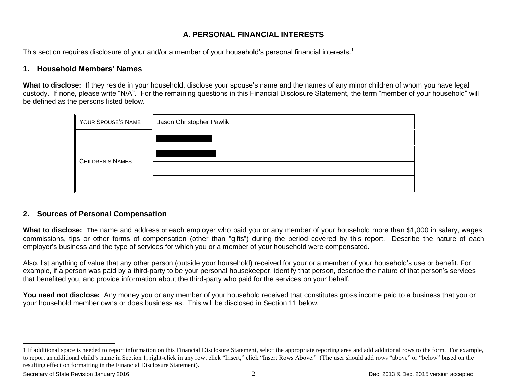# **A. PERSONAL FINANCIAL INTERESTS**

This section requires disclosure of your and/or a member of your household's personal financial interests.<sup>1</sup>

### **1. Household Members' Names**

**What to disclose:** If they reside in your household, disclose your spouse's name and the names of any minor children of whom you have legal custody. If none, please write "N/A". For the remaining questions in this Financial Disclosure Statement, the term "member of your household" will be defined as the persons listed below.

| YOUR SPOUSE'S NAME      | Jason Christopher Pawlik |
|-------------------------|--------------------------|
|                         |                          |
| <b>CHILDREN'S NAMES</b> |                          |
|                         |                          |
|                         |                          |

#### **2. Sources of Personal Compensation**

**What to disclose:** The name and address of each employer who paid you or any member of your household more than \$1,000 in salary, wages, commissions, tips or other forms of compensation (other than "gifts") during the period covered by this report. Describe the nature of each employer's business and the type of services for which you or a member of your household were compensated.

Also, list anything of value that any other person (outside your household) received for your or a member of your household's use or benefit. For example, if a person was paid by a third-party to be your personal housekeeper, identify that person, describe the nature of that person's services that benefited you, and provide information about the third-party who paid for the services on your behalf.

**You need not disclose:** Any money you or any member of your household received that constitutes gross income paid to a business that you or your household member owns or does business as. This will be disclosed in Section 11 below.

l

<sup>1</sup> If additional space is needed to report information on this Financial Disclosure Statement, select the appropriate reporting area and add additional rows to the form. For example, to report an additional child's name in Section 1, right-click in any row, click "Insert," click "Insert Rows Above." (The user should add rows "above" or "below" based on the resulting effect on formatting in the Financial Disclosure Statement).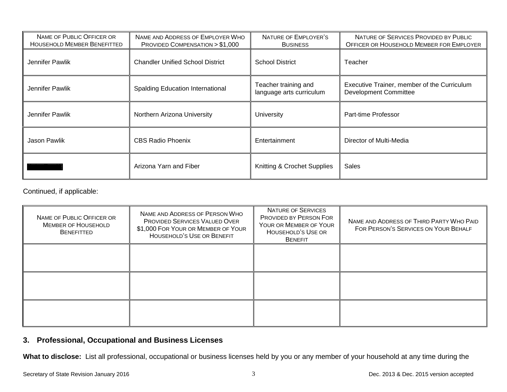| NAME OF PUBLIC OFFICER OR<br><b>HOUSEHOLD MEMBER BENEFITTED</b> | NAME AND ADDRESS OF EMPLOYER WHO<br>PROVIDED COMPENSATION > \$1,000 | NATURE OF EMPLOYER'S<br><b>BUSINESS</b>          | NATURE OF SERVICES PROVIDED BY PUBLIC<br>OFFICER OR HOUSEHOLD MEMBER FOR EMPLOYER |
|-----------------------------------------------------------------|---------------------------------------------------------------------|--------------------------------------------------|-----------------------------------------------------------------------------------|
| Jennifer Pawlik                                                 | <b>Chandler Unified School District</b>                             | <b>School District</b>                           | Teacher                                                                           |
| Jennifer Pawlik                                                 | <b>Spalding Education International</b>                             | Teacher training and<br>language arts curriculum | Executive Trainer, member of the Curriculum<br><b>Development Committee</b>       |
| Jennifer Pawlik                                                 | Northern Arizona University                                         | University                                       | Part-time Professor                                                               |
| <b>Jason Pawlik</b>                                             | <b>CBS Radio Phoenix</b>                                            | Entertainment                                    | Director of Multi-Media                                                           |
|                                                                 | Arizona Yarn and Fiber                                              | Knitting & Crochet Supplies                      | Sales                                                                             |

Continued, if applicable:

| NAME OF PUBLIC OFFICER OR<br><b>MEMBER OF HOUSEHOLD</b><br><b>BENEFITTED</b> | NAME AND ADDRESS OF PERSON WHO<br>PROVIDED SERVICES VALUED OVER<br>\$1,000 FOR YOUR OR MEMBER OF YOUR<br><b>HOUSEHOLD'S USE OR BENEFIT</b> | <b>NATURE OF SERVICES</b><br><b>PROVIDED BY PERSON FOR</b><br>YOUR OR MEMBER OF YOUR<br>HOUSEHOLD'S USE OR<br><b>BENEFIT</b> | NAME AND ADDRESS OF THIRD PARTY WHO PAID<br>FOR PERSON'S SERVICES ON YOUR BEHALF |
|------------------------------------------------------------------------------|--------------------------------------------------------------------------------------------------------------------------------------------|------------------------------------------------------------------------------------------------------------------------------|----------------------------------------------------------------------------------|
|                                                                              |                                                                                                                                            |                                                                                                                              |                                                                                  |
|                                                                              |                                                                                                                                            |                                                                                                                              |                                                                                  |
|                                                                              |                                                                                                                                            |                                                                                                                              |                                                                                  |

# **3. Professional, Occupational and Business Licenses**

**What to disclose:** List all professional, occupational or business licenses held by you or any member of your household at any time during the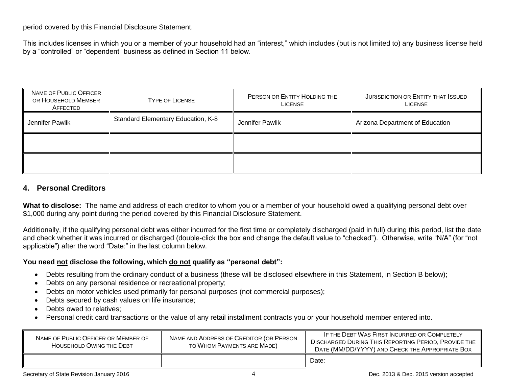period covered by this Financial Disclosure Statement.

This includes licenses in which you or a member of your household had an "interest," which includes (but is not limited to) any business license held by a "controlled" or "dependent" business as defined in Section 11 below.

| NAME OF PUBLIC OFFICER<br>OR HOUSEHOLD MEMBER<br>AFFECTED | <b>TYPE OF LICENSE</b>             | PERSON OR ENTITY HOLDING THE<br><b>LICENSE</b> | <b>JURISDICTION OR ENTITY THAT ISSUED</b><br>LICENSE |
|-----------------------------------------------------------|------------------------------------|------------------------------------------------|------------------------------------------------------|
| Jennifer Pawlik                                           | Standard Elementary Education, K-8 | Jennifer Pawlik                                | Arizona Department of Education                      |
|                                                           |                                    |                                                |                                                      |
|                                                           |                                    |                                                |                                                      |

## **4. Personal Creditors**

**What to disclose:** The name and address of each creditor to whom you or a member of your household owed a qualifying personal debt over \$1,000 during any point during the period covered by this Financial Disclosure Statement.

Additionally, if the qualifying personal debt was either incurred for the first time or completely discharged (paid in full) during this period, list the date and check whether it was incurred or discharged (double-click the box and change the default value to "checked"). Otherwise, write "N/A" (for "not applicable") after the word "Date:" in the last column below.

#### **You need not disclose the following, which do not qualify as "personal debt":**

- Debts resulting from the ordinary conduct of a business (these will be disclosed elsewhere in this Statement, in Section B below);
- Debts on any personal residence or recreational property;
- Debts on motor vehicles used primarily for personal purposes (not commercial purposes);
- Debts secured by cash values on life insurance;
- Debts owed to relatives;
- Personal credit card transactions or the value of any retail installment contracts you or your household member entered into.

| NAME OF PUBLIC OFFICER OR MEMBER OF<br>HOUSEHOLD OWING THE DEBT | NAME AND ADDRESS OF CREDITOR (OR PERSON<br>TO WHOM PAYMENTS ARE MADE) | IF THE DEBT WAS FIRST INCURRED OR COMPLETELY<br><b>DISCHARGED DURING THIS REPORTING PERIOD, PROVIDE THE</b><br>DATE (MM/DD/YYYY) AND CHECK THE APPROPRIATE BOX |
|-----------------------------------------------------------------|-----------------------------------------------------------------------|----------------------------------------------------------------------------------------------------------------------------------------------------------------|
|                                                                 |                                                                       | Date:                                                                                                                                                          |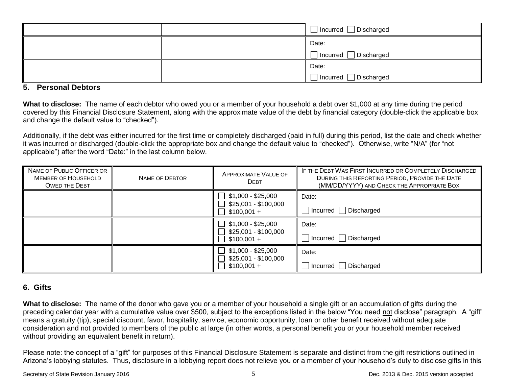|  | □ Incurred □ Discharged           |
|--|-----------------------------------|
|  | Date:                             |
|  | $\Box$ Discharged<br>∣ Incurred ∣ |
|  | Date:                             |
|  | ┑<br>1 Incurred □ Discharged      |

#### **5. Personal Debtors**

**What to disclose:** The name of each debtor who owed you or a member of your household a debt over \$1,000 at any time during the period covered by this Financial Disclosure Statement, along with the approximate value of the debt by financial category (double-click the applicable box and change the default value to "checked").

Additionally, if the debt was either incurred for the first time or completely discharged (paid in full) during this period, list the date and check whether it was incurred or discharged (double-click the appropriate box and change the default value to "checked"). Otherwise, write "N/A" (for "not applicable") after the word "Date:" in the last column below.

| NAME OF PUBLIC OFFICER OR<br><b>MEMBER OF HOUSEHOLD</b><br><b>OWED THE DEBT</b> | NAME OF DEBTOR | <b>APPROXIMATE VALUE OF</b><br><b>DEBT</b>                                     | IF THE DEBT WAS FIRST INCURRED OR COMPLETELY DISCHARGED<br>DURING THIS REPORTING PERIOD, PROVIDE THE DATE<br>(MM/DD/YYYY) AND CHECK THE APPROPRIATE BOX |
|---------------------------------------------------------------------------------|----------------|--------------------------------------------------------------------------------|---------------------------------------------------------------------------------------------------------------------------------------------------------|
|                                                                                 |                | $\Box$ \$1,000 - \$25,000<br>$\Box$ \$25,001 - \$100,000<br>$\Box$ \$100,001 + | Date:<br>Incurred Discharged                                                                                                                            |
|                                                                                 |                | $\Box$ \$1,000 - \$25,000<br>\$25,001 - \$100,000<br>$$100,001 +$              | Date:<br>$\Box$ Incurred $\Box$ Discharged                                                                                                              |
|                                                                                 |                | $\Box$ \$1,000 - \$25,000<br>\$25,001 - \$100,000<br>$$100,001 +$              | Date:<br>$\Box$ Incurred $\Box$ Discharged                                                                                                              |

#### **6. Gifts**

**What to disclose:** The name of the donor who gave you or a member of your household a single gift or an accumulation of gifts during the preceding calendar year with a cumulative value over \$500, subject to the exceptions listed in the below "You need not disclose" paragraph. A "gift" means a gratuity (tip), special discount, favor, hospitality, service, economic opportunity, loan or other benefit received without adequate consideration and not provided to members of the public at large (in other words, a personal benefit you or your household member received without providing an equivalent benefit in return).

Please note: the concept of a "gift" for purposes of this Financial Disclosure Statement is separate and distinct from the gift restrictions outlined in Arizona's lobbying statutes. Thus, disclosure in a lobbying report does not relieve you or a member of your household's duty to disclose gifts in this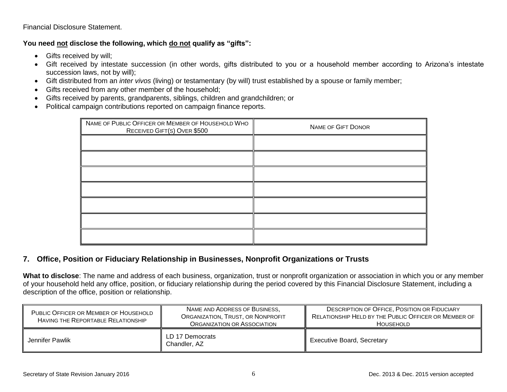#### Financial Disclosure Statement.

## **You need not disclose the following, which do not qualify as "gifts":**

- Gifts received by will;
- Gift received by intestate succession (in other words, gifts distributed to you or a household member according to Arizona's intestate succession laws, not by will);
- Gift distributed from an *inter vivos* (living) or testamentary (by will) trust established by a spouse or family member;
- Gifts received from any other member of the household;
- Gifts received by parents, grandparents, siblings, children and grandchildren; or
- Political campaign contributions reported on campaign finance reports.

| NAME OF PUBLIC OFFICER OR MEMBER OF HOUSEHOLD WHO<br>RECEIVED GIFT(S) OVER \$500 | <b>NAME OF GIFT DONOR</b> |
|----------------------------------------------------------------------------------|---------------------------|
|                                                                                  |                           |
|                                                                                  |                           |
|                                                                                  |                           |
|                                                                                  |                           |
|                                                                                  |                           |
|                                                                                  |                           |
|                                                                                  |                           |

## **7. Office, Position or Fiduciary Relationship in Businesses, Nonprofit Organizations or Trusts**

**What to disclose**: The name and address of each business, organization, trust or nonprofit organization or association in which you or any member of your household held any office, position, or fiduciary relationship during the period covered by this Financial Disclosure Statement, including a description of the office, position or relationship.

| PUBLIC OFFICER OR MEMBER OF HOUSEHOLD<br>HAVING THE REPORTABLE RELATIONSHIP | NAME AND ADDRESS OF BUSINESS,<br>ORGANIZATION, TRUST, OR NONPROFIT<br>ORGANIZATION OR ASSOCIATION | <b>DESCRIPTION OF OFFICE, POSITION OR FIDUCIARY</b><br>RELATIONSHIP HELD BY THE PUBLIC OFFICER OR MEMBER OF<br><b>HOUSEHOLD</b> |
|-----------------------------------------------------------------------------|---------------------------------------------------------------------------------------------------|---------------------------------------------------------------------------------------------------------------------------------|
| Jennifer Pawlik                                                             | LD 17 Democrats<br>Chandler, AZ                                                                   | <b>Executive Board, Secretary</b>                                                                                               |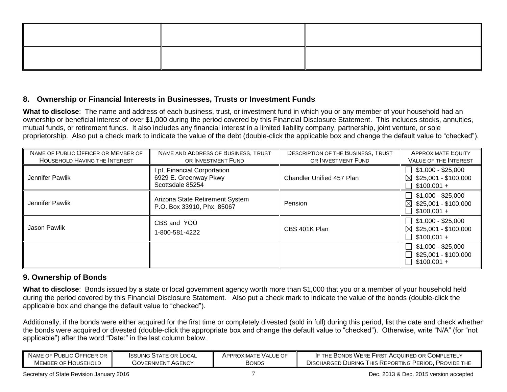## **8. Ownership or Financial Interests in Businesses, Trusts or Investment Funds**

**What to disclose**: The name and address of each business, trust, or investment fund in which you or any member of your household had an ownership or beneficial interest of over \$1,000 during the period covered by this Financial Disclosure Statement. This includes stocks, annuities, mutual funds, or retirement funds. It also includes any financial interest in a limited liability company, partnership, joint venture, or sole proprietorship. Also put a check mark to indicate the value of the debt (double-click the applicable box and change the default value to "checked").

| NAME OF PUBLIC OFFICER OR MEMBER OF<br><b>HOUSEHOLD HAVING THE INTEREST</b> | NAME AND ADDRESS OF BUSINESS, TRUST<br>OR INVESTMENT FUND                      | <b>DESCRIPTION OF THE BUSINESS, TRUST</b><br>OR INVESTMENT FUND | <b>APPROXIMATE EQUITY</b><br>VALUE OF THE INTEREST                        |
|-----------------------------------------------------------------------------|--------------------------------------------------------------------------------|-----------------------------------------------------------------|---------------------------------------------------------------------------|
| Jennifer Pawlik                                                             | <b>LpL Financial Corportation</b><br>6929 E. Greenway Pkwy<br>Scottsdale 85254 | Chandler Unified 457 Plan                                       | $$1,000 - $25,000$<br>⊠<br>\$25,001 - \$100,000<br>$$100,001 +$           |
| Jennifer Pawlik                                                             | Arizona State Retirement System<br>P.O. Box 33910, Phx. 85067                  | Pension                                                         | $$1,000 - $25,000$<br>$\boxtimes$<br>$$25,001 - $100,000$<br>$$100,001 +$ |
| Jason Pawlik                                                                | CBS and YOU<br>1-800-581-4222                                                  | CBS 401K Plan                                                   | $$1,000 - $25,000$<br>$\boxtimes$<br>$$25,001 - $100,000$<br>$$100,001 +$ |
|                                                                             |                                                                                |                                                                 | $$1,000 - $25,000$<br>$$25,001 - $100,000$<br>$$100,001 +$                |

## **9. Ownership of Bonds**

**What to disclose**: Bonds issued by a state or local government agency worth more than \$1,000 that you or a member of your household held during the period covered by this Financial Disclosure Statement. Also put a check mark to indicate the value of the bonds (double-click the applicable box and change the default value to "checked").

Additionally, if the bonds were either acquired for the first time or completely divested (sold in full) during this period, list the date and check whether the bonds were acquired or divested (double-click the appropriate box and change the default value to "checked"). Otherwise, write "N/A" (for "not applicable") after the word "Date:" in the last column below.

| NAME OF PUBLIC OFFICER OR | <b>ISSUING STATE OR LOCAL</b> | APPROXIMATE VALUE OF | IF THE BONDS WERE FIRST ACQUIRED OR COMPLETELY       |
|---------------------------|-------------------------------|----------------------|------------------------------------------------------|
| MEMBER OF HOUSEHOLD       | <b>GOVERNMENT AGENCY</b>      | Bonds                | DISCHARGED DURING THIS REPORTING PERIOD. PROVIDE THE |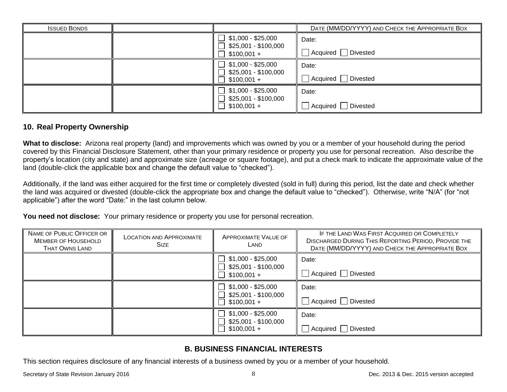| <b>ISSUED BONDS</b>                  |                                      |                             | DATE (MM/DD/YYYY) AND CHECK THE APPROPRIATE BOX |
|--------------------------------------|--------------------------------------|-----------------------------|-------------------------------------------------|
|                                      |                                      | \$1,000 - \$25,000          | Date:                                           |
|                                      | \$25,001 - \$100,000<br>$$100,001 +$ | Acquired<br><b>Divested</b> |                                                 |
|                                      |                                      | \$1,000 - \$25,000          | Date:                                           |
| \$25,001 - \$100,000<br>$$100,001 +$ | Acquired<br>Divested                 |                             |                                                 |
|                                      |                                      | \$1,000 - \$25,000          | Date:                                           |
|                                      | \$25,001 - \$100,000<br>$$100,001 +$ | <b>Divested</b><br>Acquired |                                                 |

#### **10. Real Property Ownership**

**What to disclose:** Arizona real property (land) and improvements which was owned by you or a member of your household during the period covered by this Financial Disclosure Statement, other than your primary residence or property you use for personal recreation. Also describe the property's location (city and state) and approximate size (acreage or square footage), and put a check mark to indicate the approximate value of the land (double-click the applicable box and change the default value to "checked").

Additionally, if the land was either acquired for the first time or completely divested (sold in full) during this period, list the date and check whether the land was acquired or divested (double-click the appropriate box and change the default value to "checked"). Otherwise, write "N/A" (for "not applicable") after the word "Date:" in the last column below.

**You need not disclose:** Your primary residence or property you use for personal recreation.

| NAME OF PUBLIC OFFICER OR<br><b>MEMBER OF HOUSEHOLD</b><br><b>THAT OWNS LAND</b> | <b>LOCATION AND APPROXIMATE</b><br><b>SIZE</b> | <b>APPROXIMATE VALUE OF</b><br>LAND                               | IF THE LAND WAS FIRST ACQUIRED OR COMPLETELY<br><b>DISCHARGED DURING THIS REPORTING PERIOD, PROVIDE THE</b><br>DATE (MM/DD/YYYY) AND CHECK THE APPROPRIATE BOX |
|----------------------------------------------------------------------------------|------------------------------------------------|-------------------------------------------------------------------|----------------------------------------------------------------------------------------------------------------------------------------------------------------|
|                                                                                  |                                                | $\Box$ \$1,000 - \$25,000<br>$$25,001 - $100,000$<br>$$100,001 +$ | Date:<br>Acquired Divested                                                                                                                                     |
|                                                                                  |                                                | $$1,000 - $25,000$<br>$$25,001 - $100,000$<br>$$100,001 +$        | Date:<br>Acquired Divested                                                                                                                                     |
|                                                                                  |                                                | $$1,000 - $25,000$<br>\$25,001 - \$100,000<br>$$100,001 +$        | Date:<br>Acquired   Divested                                                                                                                                   |

# **B. BUSINESS FINANCIAL INTERESTS**

This section requires disclosure of any financial interests of a business owned by you or a member of your household.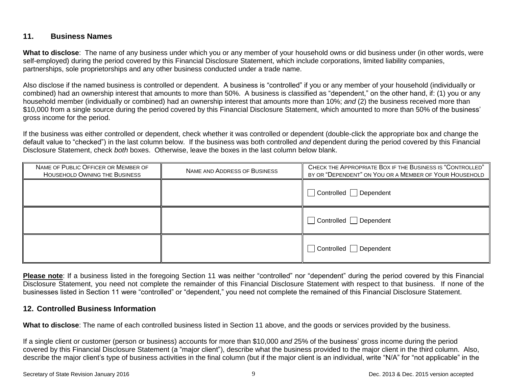## **11. Business Names**

**What to disclose**: The name of any business under which you or any member of your household owns or did business under (in other words, were self-employed) during the period covered by this Financial Disclosure Statement, which include corporations, limited liability companies, partnerships, sole proprietorships and any other business conducted under a trade name.

Also disclose if the named business is controlled or dependent. A business is "controlled" if you or any member of your household (individually or combined) had an ownership interest that amounts to more than 50%. A business is classified as "dependent," on the other hand, if: (1) you or any household member (individually or combined) had an ownership interest that amounts more than 10%; *and* (2) the business received more than \$10,000 from a single source during the period covered by this Financial Disclosure Statement, which amounted to more than 50% of the business' gross income for the period.

If the business was either controlled or dependent, check whether it was controlled or dependent (double-click the appropriate box and change the default value to "checked") in the last column below. If the business was both controlled *and* dependent during the period covered by this Financial Disclosure Statement, check *both* boxes. Otherwise, leave the boxes in the last column below blank.

| NAME OF PUBLIC OFFICER OR MEMBER OF<br><b>HOUSEHOLD OWNING THE BUSINESS</b> | NAME AND ADDRESS OF BUSINESS | CHECK THE APPROPRIATE BOX IF THE BUSINESS IS "CONTROLLED"<br>BY OR "DEPENDENT" ON YOU OR A MEMBER OF YOUR HOUSEHOLD |
|-----------------------------------------------------------------------------|------------------------------|---------------------------------------------------------------------------------------------------------------------|
|                                                                             |                              | Controlled Dependent                                                                                                |
|                                                                             |                              | Controlled Dependent                                                                                                |
|                                                                             |                              | $\Box$ Controlled $\Box$ Dependent                                                                                  |

**Please note**: If a business listed in the foregoing Section 11 was neither "controlled" nor "dependent" during the period covered by this Financial Disclosure Statement, you need not complete the remainder of this Financial Disclosure Statement with respect to that business. If none of the businesses listed in Section 11 were "controlled" or "dependent," you need not complete the remained of this Financial Disclosure Statement.

## **12. Controlled Business Information**

**What to disclose**: The name of each controlled business listed in Section 11 above, and the goods or services provided by the business.

If a single client or customer (person or business) accounts for more than \$10,000 *and* 25% of the business' gross income during the period covered by this Financial Disclosure Statement (a "major client"), describe what the business provided to the major client in the third column. Also, describe the major client's type of business activities in the final column (but if the major client is an individual, write "N/A" for "not applicable" in the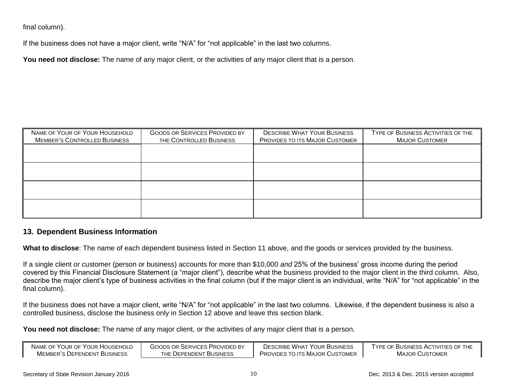final column).

If the business does not have a major client, write "N/A" for "not applicable" in the last two columns.

**You need not disclose:** The name of any major client, or the activities of any major client that is a person.

| THE CONTROLLED BUSINESS | PROVIDES TO ITS MAJOR CUSTOMER | TYPE OF BUSINESS ACTIVITIES OF THE<br><b>MAJOR CUSTOMER</b> |
|-------------------------|--------------------------------|-------------------------------------------------------------|
|                         |                                |                                                             |
|                         |                                |                                                             |
|                         |                                |                                                             |
|                         |                                |                                                             |
|                         |                                |                                                             |
|                         |                                |                                                             |

#### **13. Dependent Business Information**

**What to disclose**: The name of each dependent business listed in Section 11 above, and the goods or services provided by the business.

If a single client or customer (person or business) accounts for more than \$10,000 *and* 25% of the business' gross income during the period covered by this Financial Disclosure Statement (a "major client"), describe what the business provided to the major client in the third column. Also, describe the major client's type of business activities in the final column (but if the major client is an individual, write "N/A" for "not applicable" in the final column).

If the business does not have a major client, write "N/A" for "not applicable" in the last two columns. Likewise, if the dependent business is also a controlled business, disclose the business only in Section 12 above and leave this section blank.

**You need not disclose:** The name of any major client, or the activities of any major client that is a person.

| NAME OF YOUR OF YOUR HOUSEHOLD | GOODS OR SERVICES PROVIDED BY | DESCRIBE WHAT YOUR BUSINESS    | TYPE OF BUSINESS ACTIVITIES OF THE |
|--------------------------------|-------------------------------|--------------------------------|------------------------------------|
| MEMBER'S DEPENDENT BUSINESS    | THE DEPENDENT BUSINESS        | PROVIDES TO ITS MAJOR CUSTOMER | <b>MAJOR CUSTOMER</b>              |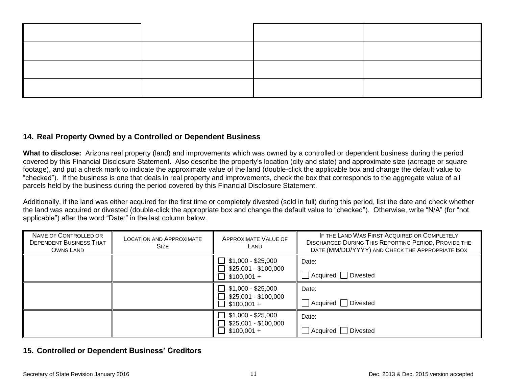## **14. Real Property Owned by a Controlled or Dependent Business**

**What to disclose:** Arizona real property (land) and improvements which was owned by a controlled or dependent business during the period covered by this Financial Disclosure Statement. Also describe the property's location (city and state) and approximate size (acreage or square footage), and put a check mark to indicate the approximate value of the land (double-click the applicable box and change the default value to "checked"). If the business is one that deals in real property and improvements, check the box that corresponds to the aggregate value of all parcels held by the business during the period covered by this Financial Disclosure Statement.

Additionally, if the land was either acquired for the first time or completely divested (sold in full) during this period, list the date and check whether the land was acquired or divested (double-click the appropriate box and change the default value to "checked"). Otherwise, write "N/A" (for "not applicable") after the word "Date:" in the last column below.

| NAME OF CONTROLLED OR<br><b>DEPENDENT BUSINESS THAT</b><br>OWNS LAND | <b>LOCATION AND APPROXIMATE</b><br><b>SIZE</b> | <b>APPROXIMATE VALUE OF</b><br>LAND                        | IF THE LAND WAS FIRST ACQUIRED OR COMPLETELY<br><b>DISCHARGED DURING THIS REPORTING PERIOD, PROVIDE THE</b><br>DATE (MM/DD/YYYY) AND CHECK THE APPROPRIATE BOX |
|----------------------------------------------------------------------|------------------------------------------------|------------------------------------------------------------|----------------------------------------------------------------------------------------------------------------------------------------------------------------|
|                                                                      |                                                | $$1,000 - $25,000$<br>$$25,001 - $100,000$<br>$$100,001 +$ | Date:<br>Acquired   Divested                                                                                                                                   |
|                                                                      |                                                | $$1,000 - $25,000$<br>\$25,001 - \$100,000<br>$$100,001 +$ | Date:<br>Acquired   Divested                                                                                                                                   |
|                                                                      |                                                | $$1,000 - $25,000$<br>\$25,001 - \$100,000<br>$$100,001 +$ | Date:<br>Acquired Divested                                                                                                                                     |

## **15. Controlled or Dependent Business' Creditors**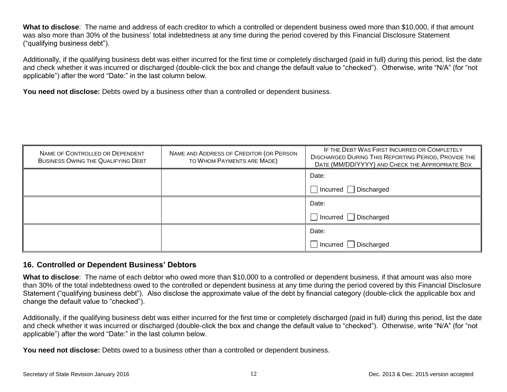**What to disclose**: The name and address of each creditor to which a controlled or dependent business owed more than \$10,000, if that amount was also more than 30% of the business' total indebtedness at any time during the period covered by this Financial Disclosure Statement ("qualifying business debt").

Additionally, if the qualifying business debt was either incurred for the first time or completely discharged (paid in full) during this period, list the date and check whether it was incurred or discharged (double-click the box and change the default value to "checked"). Otherwise, write "N/A" (for "not applicable") after the word "Date:" in the last column below.

**You need not disclose:** Debts owed by a business other than a controlled or dependent business.

| NAME OF CONTROLLED OR DEPENDENT<br><b>BUSINESS OWING THE QUALIFYING DEBT</b> | NAME AND ADDRESS OF CREDITOR (OR PERSON<br>TO WHOM PAYMENTS ARE MADE) | IF THE DEBT WAS FIRST INCURRED OR COMPLETELY<br>DISCHARGED DURING THIS REPORTING PERIOD, PROVIDE THE<br>DATE (MM/DD/YYYY) AND CHECK THE APPROPRIATE BOX |
|------------------------------------------------------------------------------|-----------------------------------------------------------------------|---------------------------------------------------------------------------------------------------------------------------------------------------------|
|                                                                              |                                                                       | Date:                                                                                                                                                   |
|                                                                              |                                                                       | $\Box$ Incurred $\Box$ Discharged                                                                                                                       |
|                                                                              |                                                                       | Date:                                                                                                                                                   |
|                                                                              |                                                                       | $\Box$ Incurred $\Box$ Discharged                                                                                                                       |
|                                                                              |                                                                       | Date:                                                                                                                                                   |
|                                                                              |                                                                       | $\Box$ Incurred $\Box$ Discharged                                                                                                                       |

#### **16. Controlled or Dependent Business' Debtors**

**What to disclose**: The name of each debtor who owed more than \$10,000 to a controlled or dependent business, if that amount was also more than 30% of the total indebtedness owed to the controlled or dependent business at any time during the period covered by this Financial Disclosure Statement ("qualifying business debt"). Also disclose the approximate value of the debt by financial category (double-click the applicable box and change the default value to "checked").

Additionally, if the qualifying business debt was either incurred for the first time or completely discharged (paid in full) during this period, list the date and check whether it was incurred or discharged (double-click the box and change the default value to "checked"). Otherwise, write "N/A" (for "not applicable") after the word "Date:" in the last column below.

**You need not disclose:** Debts owed to a business other than a controlled or dependent business.